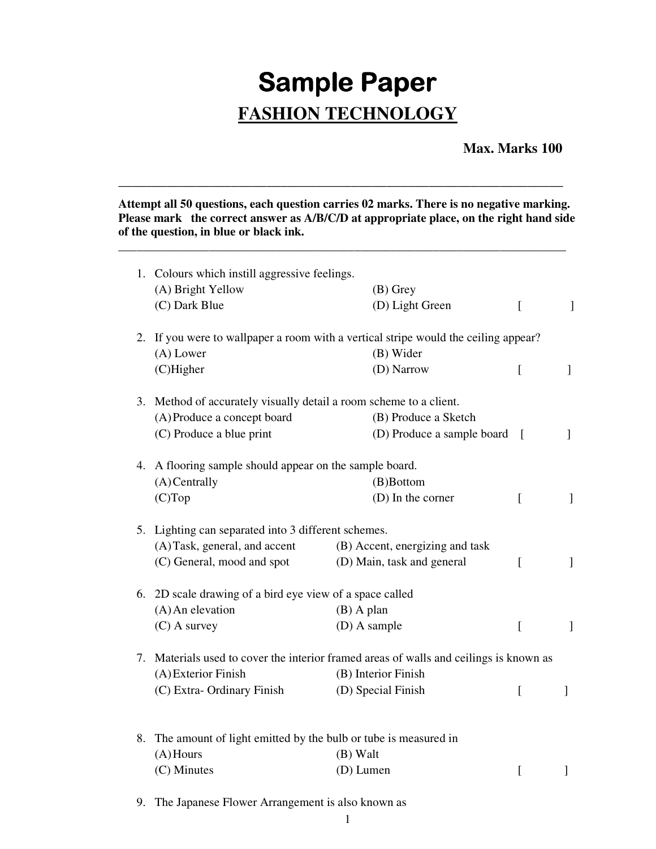## **Sample Paper FASHION TECHNOLOGY**

## **Max. Marks 100**

**Attempt all 50 questions, each question carries 02 marks. There is no negative marking. Please mark the correct answer as A/B/C/D at appropriate place, on the right hand side of the question, in blue or black ink.** 

**\_\_\_\_\_\_\_\_\_\_\_\_\_\_\_\_\_\_\_\_\_\_\_\_\_\_\_\_\_\_\_\_\_\_\_\_\_\_\_\_\_\_\_\_\_\_\_\_\_\_\_\_\_\_\_\_\_\_\_\_\_\_\_\_\_\_\_\_\_\_\_\_\_\_** 

\_\_\_\_\_\_\_\_\_\_\_\_\_\_\_\_\_\_\_\_\_\_\_\_\_\_\_\_\_\_\_\_\_\_\_\_\_\_\_\_\_\_\_\_\_\_\_\_\_\_\_\_\_\_\_\_\_\_\_\_\_\_\_

|                                                                   | 1. Colours which instill aggressive feelings.<br>(A) Bright Yellow<br>(C) Dark Blue | $(B)$ Grey<br>(D) Light Green   | $\overline{a}$   | $\mathbf{I}$ |
|-------------------------------------------------------------------|-------------------------------------------------------------------------------------|---------------------------------|------------------|--------------|
|                                                                   | 2. If you were to wallpaper a room with a vertical stripe would the ceiling appear? |                                 |                  |              |
|                                                                   | (A) Lower                                                                           | (B) Wider                       |                  |              |
|                                                                   | $(C)$ Higher                                                                        | (D) Narrow                      | $\left[ \right]$ | $\mathbf{I}$ |
|                                                                   | 3. Method of accurately visually detail a room scheme to a client.                  |                                 |                  |              |
|                                                                   | (A) Produce a concept board                                                         | (B) Produce a Sketch            |                  |              |
|                                                                   | (C) Produce a blue print                                                            | (D) Produce a sample board [    |                  | $\mathbf{1}$ |
|                                                                   | 4. A flooring sample should appear on the sample board.                             |                                 |                  |              |
|                                                                   | (A) Centrally                                                                       | (B)Bottom                       |                  |              |
|                                                                   | (C)Top                                                                              | (D) In the corner               | $\overline{[}$   | $\mathbf{I}$ |
| 5. Lighting can separated into 3 different schemes.               |                                                                                     |                                 |                  |              |
|                                                                   | (A) Task, general, and accent                                                       | (B) Accent, energizing and task |                  |              |
|                                                                   | (C) General, mood and spot                                                          | (D) Main, task and general      | $\left[ \right]$ | 1            |
|                                                                   | 6. 2D scale drawing of a bird eye view of a space called                            |                                 |                  |              |
|                                                                   | $(A)$ An elevation                                                                  | $(B)$ A plan                    |                  |              |
|                                                                   | $(C)$ A survey                                                                      | (D) A sample                    | $\overline{a}$   | $\mathbf{I}$ |
| 7.                                                                | Materials used to cover the interior framed areas of walls and ceilings is known as |                                 |                  |              |
|                                                                   | (A) Exterior Finish                                                                 | (B) Interior Finish             |                  |              |
|                                                                   | (C) Extra-Ordinary Finish                                                           | (D) Special Finish              | $\overline{a}$   |              |
|                                                                   |                                                                                     |                                 |                  | 1            |
| 8. The amount of light emitted by the bulb or tube is measured in |                                                                                     |                                 |                  |              |
|                                                                   | $(A)$ Hours<br>(B) Walt                                                             |                                 |                  |              |
|                                                                   | (C) Minutes                                                                         | (D) Lumen                       | $\overline{[}$   |              |
|                                                                   |                                                                                     |                                 |                  | ]            |
|                                                                   | 9. The Japanese Flower Arrangement is also known as                                 |                                 |                  |              |

1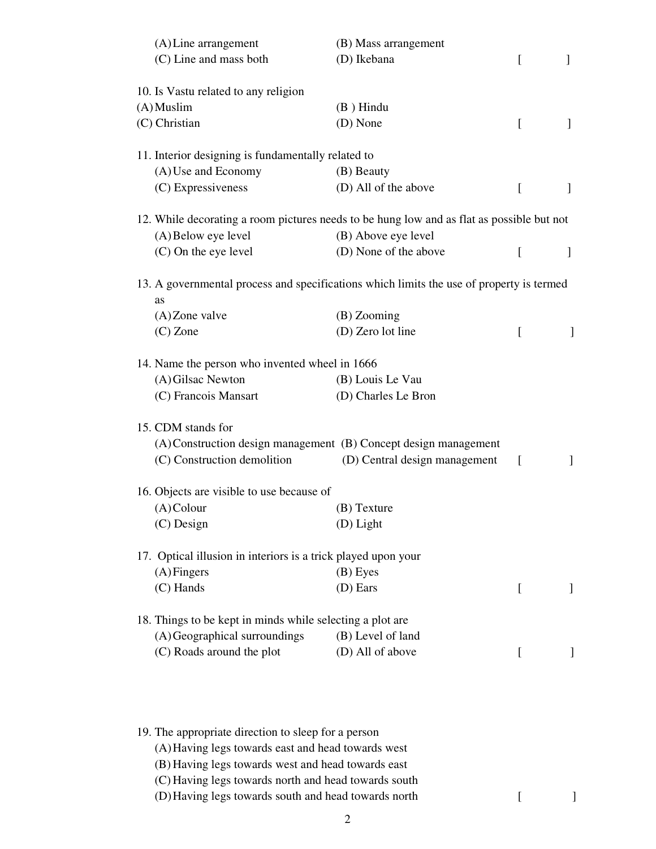| (A) Line arrangement                                                                                      | (B) Mass arrangement                                                                      |          |                |
|-----------------------------------------------------------------------------------------------------------|-------------------------------------------------------------------------------------------|----------|----------------|
| (C) Line and mass both                                                                                    | (D) Ikebana                                                                               | L        | $\overline{1}$ |
| 10. Is Vastu related to any religion                                                                      |                                                                                           |          |                |
| $(A)$ Muslim                                                                                              | $(B)$ Hindu                                                                               |          |                |
| (C) Christian                                                                                             | (D) None                                                                                  | $\Gamma$ | 1              |
| 11. Interior designing is fundamentally related to                                                        |                                                                                           |          |                |
| (A) Use and Economy                                                                                       | (B) Beauty                                                                                |          |                |
| (C) Expressiveness                                                                                        | (D) All of the above                                                                      | L        | $\mathbf{I}$   |
|                                                                                                           | 12. While decorating a room pictures needs to be hung low and as flat as possible but not |          |                |
| (A) Below eye level                                                                                       | (B) Above eye level                                                                       |          |                |
| (C) On the eye level                                                                                      | (D) None of the above                                                                     | L        | $\overline{1}$ |
|                                                                                                           | 13. A governmental process and specifications which limits the use of property is termed  |          |                |
| as                                                                                                        | $(B)$ Zooming                                                                             |          |                |
| $(A)$ Zone valve                                                                                          | (D) Zero lot line                                                                         |          |                |
| $(C)$ Zone                                                                                                |                                                                                           | ſ        | 1              |
| 14. Name the person who invented wheel in 1666                                                            |                                                                                           |          |                |
| (A) Gilsac Newton                                                                                         | (B) Louis Le Vau                                                                          |          |                |
| (C) Francois Mansart                                                                                      | (D) Charles Le Bron                                                                       |          |                |
| 15. CDM stands for                                                                                        |                                                                                           |          |                |
|                                                                                                           | (A) Construction design management (B) Concept design management                          |          |                |
| (C) Construction demolition                                                                               | (D) Central design management                                                             | L        | $\mathbf{I}$   |
| 16. Objects are visible to use because of                                                                 |                                                                                           |          |                |
| $(A)$ Colour                                                                                              | (B) Texture                                                                               |          |                |
| $(C)$ Design                                                                                              | (D) Light                                                                                 |          |                |
| 17. Optical illusion in interiors is a trick played upon your                                             |                                                                                           |          |                |
| $(A)$ Fingers                                                                                             | (B) Eyes                                                                                  |          |                |
| (C) Hands                                                                                                 | (D) Ears                                                                                  | $\Gamma$ | 1              |
| 18. Things to be kept in minds while selecting a plot are                                                 |                                                                                           |          |                |
| (A) Geographical surroundings                                                                             | (B) Level of land                                                                         |          |                |
| (C) Roads around the plot                                                                                 | (D) All of above                                                                          | L        | $\mathbf{I}$   |
|                                                                                                           |                                                                                           |          |                |
| 19. The appropriate direction to sleep for a person<br>(A) Having legs towards east and head towards west |                                                                                           |          |                |
| (B) Having legs towards west and head towards east                                                        |                                                                                           |          |                |
| (C) Having legs towards north and head towards south                                                      |                                                                                           |          |                |
| (D) Having legs towards south and head towards north                                                      |                                                                                           | t        |                |
|                                                                                                           |                                                                                           |          |                |

2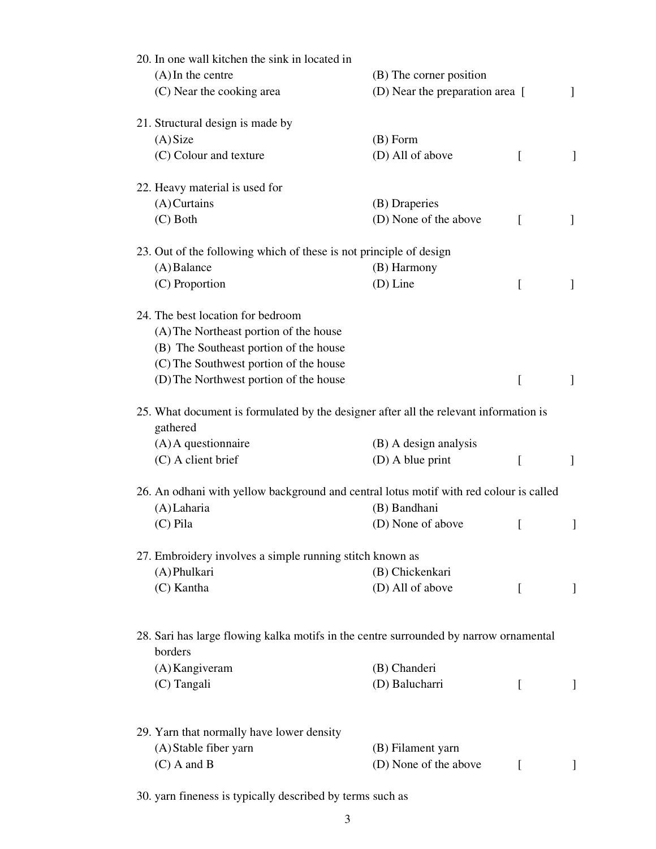| 20. In one wall kitchen the sink in located in                                                    |                                 |              |                          |
|---------------------------------------------------------------------------------------------------|---------------------------------|--------------|--------------------------|
| $(A)$ In the centre                                                                               | (B) The corner position         |              |                          |
| (C) Near the cooking area                                                                         | (D) Near the preparation area [ |              | 1                        |
| 21. Structural design is made by                                                                  |                                 |              |                          |
| (A) Size                                                                                          | $(B)$ Form                      |              |                          |
| (C) Colour and texture                                                                            | (D) All of above                | $\lceil$     | 1                        |
| 22. Heavy material is used for                                                                    |                                 |              |                          |
| $(A)$ Curtains                                                                                    | (B) Draperies                   |              |                          |
| $(C)$ Both                                                                                        | (D) None of the above           | $\sqrt{ }$   | 1                        |
| 23. Out of the following which of these is not principle of design                                |                                 |              |                          |
| $(A)$ Balance                                                                                     | (B) Harmony                     |              |                          |
| (C) Proportion                                                                                    | $(D)$ Line                      | $\lceil$     | 1                        |
| 24. The best location for bedroom                                                                 |                                 |              |                          |
| (A) The Northeast portion of the house                                                            |                                 |              |                          |
| (B) The Southeast portion of the house                                                            |                                 |              |                          |
| (C) The Southwest portion of the house                                                            |                                 |              |                          |
| (D) The Northwest portion of the house                                                            |                                 | $\Gamma$     | $\mathbf{1}$             |
| 25. What document is formulated by the designer after all the relevant information is<br>gathered |                                 |              |                          |
| $(A)$ A questionnaire                                                                             | (B) A design analysis           |              |                          |
| (C) A client brief                                                                                | $(D)$ A blue print              | $\Gamma$     | $\overline{\phantom{a}}$ |
| 26. An odhani with yellow background and central lotus motif with red colour is called            |                                 |              |                          |
| (A) Laharia                                                                                       | (B) Bandhani                    |              |                          |
| $(C)$ Pila                                                                                        | (D) None of above               | L            |                          |
| 27. Embroidery involves a simple running stitch known as                                          |                                 |              |                          |
| (A) Phulkari                                                                                      | (B) Chickenkari                 |              |                          |
| (C) Kantha                                                                                        | (D) All of above                | $\Gamma$     | 1                        |
|                                                                                                   |                                 |              |                          |
| 28. Sari has large flowing kalka motifs in the centre surrounded by narrow ornamental<br>borders  |                                 |              |                          |
| (A) Kangiveram                                                                                    | (B) Chanderi                    |              |                          |
| (C) Tangali                                                                                       | (D) Balucharri                  | $\Gamma$     | $\mathbf{I}$             |
|                                                                                                   |                                 |              |                          |
| 29. Yarn that normally have lower density                                                         |                                 |              |                          |
| (A) Stable fiber yarn                                                                             | (B) Filament yarn               |              |                          |
| $(C)$ A and B                                                                                     | (D) None of the above           | $\mathbf{I}$ |                          |

30. yarn fineness is typically described by terms such as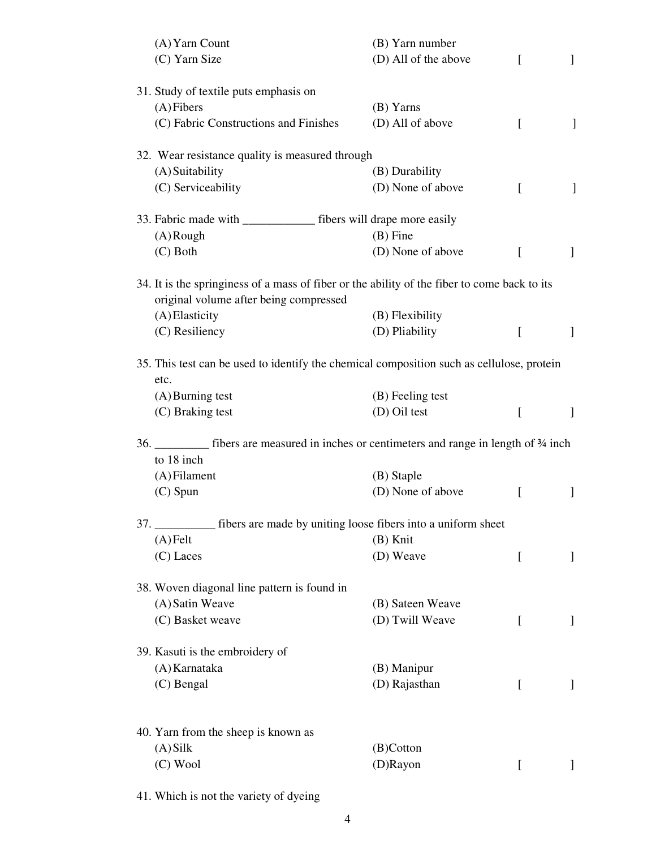| (A) Yarn Count                                                                               | (B) Yarn number      |                  |                |
|----------------------------------------------------------------------------------------------|----------------------|------------------|----------------|
| (C) Yarn Size                                                                                | (D) All of the above | $\Gamma$         | $\overline{1}$ |
|                                                                                              |                      |                  |                |
| 31. Study of textile puts emphasis on                                                        |                      |                  |                |
| $(A)$ Fibers                                                                                 | (B) Yarns            |                  |                |
| (C) Fabric Constructions and Finishes                                                        | (D) All of above     | $\Gamma$         | 1              |
|                                                                                              |                      |                  |                |
| 32. Wear resistance quality is measured through                                              |                      |                  |                |
| (A) Suitability                                                                              | (B) Durability       |                  |                |
| (C) Serviceability                                                                           | (D) None of above    | $\Gamma$         | T              |
| 33. Fabric made with ________________ fibers will drape more easily                          |                      |                  |                |
| $(A)$ Rough                                                                                  | $(B)$ Fine           |                  |                |
| $(C)$ Both                                                                                   | (D) None of above    | $\Gamma$         | 1              |
|                                                                                              |                      |                  |                |
| 34. It is the springiness of a mass of fiber or the ability of the fiber to come back to its |                      |                  |                |
| original volume after being compressed                                                       |                      |                  |                |
| (A) Elasticity                                                                               | (B) Flexibility      |                  |                |
| (C) Resiliency                                                                               | (D) Pliability       | ſ                | 1              |
|                                                                                              |                      |                  |                |
| 35. This test can be used to identify the chemical composition such as cellulose, protein    |                      |                  |                |
| etc.                                                                                         |                      |                  |                |
| $(A)$ Burning test                                                                           | (B) Feeling test     |                  |                |
| (C) Braking test                                                                             | (D) Oil test         | t                | $\mathbf{I}$   |
|                                                                                              |                      |                  |                |
| 36. __________ fibers are measured in inches or centimeters and range in length of 34 inch   |                      |                  |                |
| to 18 inch                                                                                   |                      |                  |                |
| $(A)$ Filament                                                                               | (B) Staple           |                  |                |
| $(C)$ Spun                                                                                   | (D) None of above    | I                | ]              |
| 37. ____________ fibers are made by uniting loose fibers into a uniform sheet                |                      |                  |                |
| $(A)$ Felt                                                                                   | (B) Knit             |                  |                |
| $(C)$ Laces                                                                                  | (D) Weave            | L                | ]              |
|                                                                                              |                      |                  |                |
| 38. Woven diagonal line pattern is found in                                                  |                      |                  |                |
| (A) Satin Weave                                                                              | (B) Sateen Weave     |                  |                |
| (C) Basket weave                                                                             | (D) Twill Weave      | $\Gamma$         | ]              |
|                                                                                              |                      |                  |                |
| 39. Kasuti is the embroidery of                                                              |                      |                  |                |
| (A) Karnataka                                                                                | (B) Manipur          |                  |                |
| (C) Bengal                                                                                   | (D) Rajasthan        | $\Gamma$         | ]              |
|                                                                                              |                      |                  |                |
|                                                                                              |                      |                  |                |
| 40. Yarn from the sheep is known as                                                          |                      |                  |                |
| $(A)$ Silk                                                                                   | (B)Cotton            |                  |                |
| $(C)$ Wool                                                                                   | (D)Rayon             | $\left[ \right]$ | 1              |
|                                                                                              |                      |                  |                |

41. Which is not the variety of dyeing